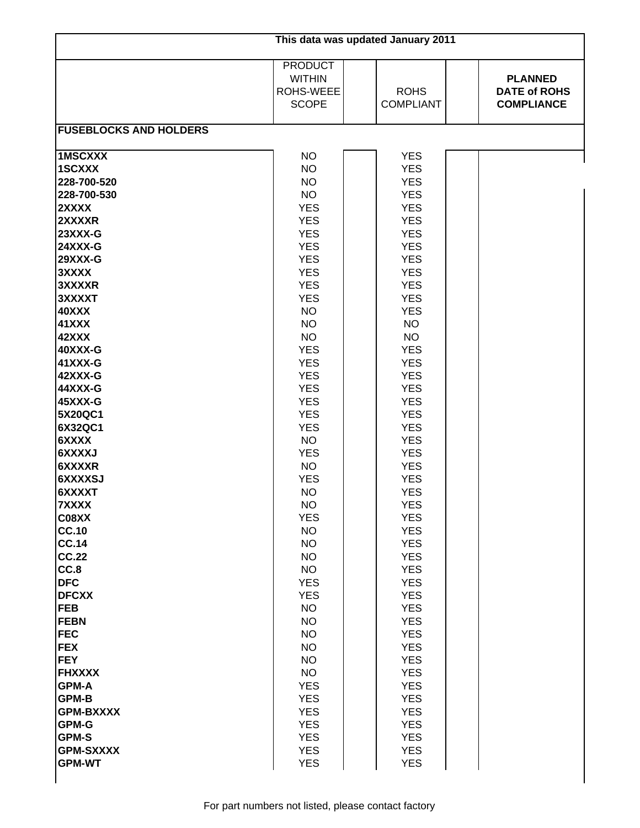| This data was updated January 2011                                                                                                                                                                                                                                                                                                                                                                                                                                                                                                                                                                                                       |                                                                                                                                                                                                                                                                                                                                                                                                                                                                                                                                                                                                                                                                   |                                                                                                                                                                                                                                                                                                                                                                                                                                                                                                                                                                                                                                                                                            |                                                            |  |  |  |  |
|------------------------------------------------------------------------------------------------------------------------------------------------------------------------------------------------------------------------------------------------------------------------------------------------------------------------------------------------------------------------------------------------------------------------------------------------------------------------------------------------------------------------------------------------------------------------------------------------------------------------------------------|-------------------------------------------------------------------------------------------------------------------------------------------------------------------------------------------------------------------------------------------------------------------------------------------------------------------------------------------------------------------------------------------------------------------------------------------------------------------------------------------------------------------------------------------------------------------------------------------------------------------------------------------------------------------|--------------------------------------------------------------------------------------------------------------------------------------------------------------------------------------------------------------------------------------------------------------------------------------------------------------------------------------------------------------------------------------------------------------------------------------------------------------------------------------------------------------------------------------------------------------------------------------------------------------------------------------------------------------------------------------------|------------------------------------------------------------|--|--|--|--|
|                                                                                                                                                                                                                                                                                                                                                                                                                                                                                                                                                                                                                                          | <b>PRODUCT</b><br><b>WITHIN</b><br>ROHS-WEEE<br><b>SCOPE</b>                                                                                                                                                                                                                                                                                                                                                                                                                                                                                                                                                                                                      | <b>ROHS</b><br><b>COMPLIANT</b>                                                                                                                                                                                                                                                                                                                                                                                                                                                                                                                                                                                                                                                            | <b>PLANNED</b><br><b>DATE of ROHS</b><br><b>COMPLIANCE</b> |  |  |  |  |
| <b>FUSEBLOCKS AND HOLDERS</b>                                                                                                                                                                                                                                                                                                                                                                                                                                                                                                                                                                                                            |                                                                                                                                                                                                                                                                                                                                                                                                                                                                                                                                                                                                                                                                   |                                                                                                                                                                                                                                                                                                                                                                                                                                                                                                                                                                                                                                                                                            |                                                            |  |  |  |  |
| <b>1MSCXXX</b><br>1SCXXX<br>228-700-520<br>228-700-530<br>2XXXX<br>2XXXXR<br>23XXX-G<br><b>24XXX-G</b><br><b>29XXX-G</b><br>3XXXX<br>3XXXXR<br>3XXXXT<br>40XXX<br><b>41XXX</b><br>42XXX<br>40XXX-G<br>41XXX-G<br>42XXX-G<br>44XXX-G<br>45XXX-G<br>5X20QC1<br>6X32QC1<br>6XXXX<br>6XXXXJ<br>6XXXXR<br>6XXXXSJ<br>6XXXXT<br>7XXXX<br>C08XX<br><b>CC.10</b><br><b>CC.14</b><br><b>CC.22</b><br>CC.8<br><b>DFC</b><br><b>DFCXX</b><br><b>FEB</b><br><b>FEBN</b><br><b>FEC</b><br><b>FEX</b><br><b>FEY</b><br><b>FHXXXX</b><br><b>GPM-A</b><br><b>GPM-B</b><br><b>GPM-BXXXX</b><br>GPM-G<br><b>GPM-S</b><br><b>GPM-SXXXX</b><br><b>GPM-WT</b> | <b>NO</b><br><b>NO</b><br><b>NO</b><br><b>NO</b><br><b>YES</b><br><b>YES</b><br><b>YES</b><br><b>YES</b><br><b>YES</b><br><b>YES</b><br><b>YES</b><br><b>YES</b><br><b>NO</b><br><b>NO</b><br><b>NO</b><br><b>YES</b><br><b>YES</b><br><b>YES</b><br><b>YES</b><br><b>YES</b><br><b>YES</b><br><b>YES</b><br><b>NO</b><br><b>YES</b><br><b>NO</b><br><b>YES</b><br><b>NO</b><br>NO.<br><b>YES</b><br><b>NO</b><br><b>NO</b><br><b>NO</b><br><b>NO</b><br><b>YES</b><br><b>YES</b><br><b>NO</b><br><b>NO</b><br><b>NO</b><br><b>NO</b><br><b>NO</b><br><b>NO</b><br><b>YES</b><br><b>YES</b><br><b>YES</b><br><b>YES</b><br><b>YES</b><br><b>YES</b><br><b>YES</b> | <b>YES</b><br><b>YES</b><br><b>YES</b><br><b>YES</b><br><b>YES</b><br><b>YES</b><br><b>YES</b><br><b>YES</b><br><b>YES</b><br><b>YES</b><br><b>YES</b><br><b>YES</b><br><b>YES</b><br><b>NO</b><br><b>NO</b><br><b>YES</b><br><b>YES</b><br><b>YES</b><br><b>YES</b><br><b>YES</b><br><b>YES</b><br><b>YES</b><br><b>YES</b><br><b>YES</b><br><b>YES</b><br><b>YES</b><br><b>YES</b><br><b>YES</b><br><b>YES</b><br><b>YES</b><br><b>YES</b><br><b>YES</b><br><b>YES</b><br><b>YES</b><br><b>YES</b><br><b>YES</b><br><b>YES</b><br><b>YES</b><br><b>YES</b><br><b>YES</b><br><b>YES</b><br><b>YES</b><br><b>YES</b><br><b>YES</b><br><b>YES</b><br><b>YES</b><br><b>YES</b><br><b>YES</b> |                                                            |  |  |  |  |